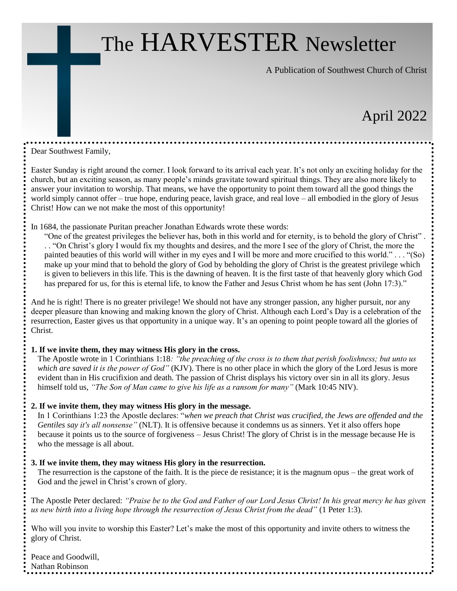## The HARVESTER Newsletter

A Publication of Southwest Church of Christ

## April 2022

#### Dear Southwest Family,

Easter Sunday is right around the corner. I look forward to its arrival each year. It's not only an exciting holiday for the church, but an exciting season, as many people's minds gravitate toward spiritual things. They are also more likely to answer your invitation to worship. That means, we have the opportunity to point them toward all the good things the world simply cannot offer – true hope, enduring peace, lavish grace, and real love – all embodied in the glory of Jesus Christ! How can we not make the most of this opportunity!

In 1684, the passionate Puritan preacher Jonathan Edwards wrote these words:

"One of the greatest privileges the believer has, both in this world and for eternity, is to behold the glory of Christ" . . . "On Christ's glory I would fix my thoughts and desires, and the more I see of the glory of Christ, the more the painted beauties of this world will wither in my eyes and I will be more and more crucified to this world." . . . "(So) make up your mind that to behold the glory of God by beholding the glory of Christ is the greatest privilege which is given to believers in this life. This is the dawning of heaven. It is the first taste of that heavenly glory which God has prepared for us, for this is eternal life, to know the Father and Jesus Christ whom he has sent (John 17:3)."

And he is right! There is no greater privilege! We should not have any stronger passion, any higher pursuit, nor any deeper pleasure than knowing and making known the glory of Christ. Although each Lord's Day is a celebration of the resurrection, Easter gives us that opportunity in a unique way. It's an opening to point people toward all the glories of Christ.

#### **1. If we invite them, they may witness His glory in the cross.**

The Apostle wrote in 1 Corinthians 1:18*: "the preaching of the cross is to them that perish foolishness; but unto us which are saved it is the power of God"* (KJV). There is no other place in which the glory of the Lord Jesus is more evident than in His crucifixion and death. The passion of Christ displays his victory over sin in all its glory. Jesus himself told us, *"The Son of Man came to give his life as a ransom for many"* (Mark 10:45 NIV).

#### **2. If we invite them, they may witness His glory in the message.**

In 1 Corinthians 1:23 the Apostle declares: "*when we preach that Christ was crucified, the Jews are offended and the Gentiles say it's all nonsense"* (NLT). It is offensive because it condemns us as sinners. Yet it also offers hope because it points us to the source of forgiveness – Jesus Christ! The glory of Christ is in the message because He is who the message is all about.

#### **3. If we invite them, they may witness His glory in the resurrection.**

The resurrection is the capstone of the faith. It is the piece de resistance; it is the magnum opus – the great work of God and the jewel in Christ's crown of glory.

The Apostle Peter declared: *"Praise be to the God and Father of our Lord Jesus Christ! In his great mercy he has given us new birth into a living hope through the resurrection of Jesus Christ from the dead"* (1 Peter 1:3).

Who will you invite to worship this Easter? Let's make the most of this opportunity and invite others to witness the glory of Christ.

Peace and Goodwill, Nathan Robinson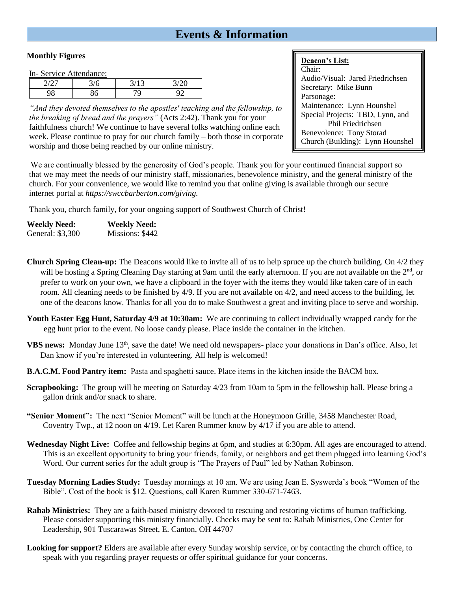#### **Events & Information**

#### **Monthly Figures**

In- Service Attendance:

|   | $\sim$ |  |  |  |
|---|--------|--|--|--|
| ີ | ∼      |  |  |  |

*"And they devoted themselves to the apostles' teaching and the fellowship, to the breaking of bread and the prayers"* (Acts 2:42). Thank you for your faithfulness church! We continue to have several folks watching online each week. Please continue to pray for our church family – both those in corporate worship and those being reached by our online ministry.

#### **Deacon's List:**

Chair: Audio/Visual: Jared Friedrichsen Secretary: Mike Bunn Parsonage: Maintenance: Lynn Hounshel Special Projects: TBD, Lynn, and Phil Friedrichsen Benevolence: Tony Storad Church (Building): Lynn Hounshel

We are continually blessed by the generosity of God's people. Thank you for your continued financial support so that we may meet the needs of our ministry staff, missionaries, benevolence ministry, and the general ministry of the church. For your convenience, we would like to remind you that online giving is available through our secure internet portal at *https://swccbarberton.com/giving.*

Thank you, church family, for your ongoing support of Southwest Church of Christ!

| <b>Weekly Need:</b> | <b>Weekly Need:</b> |
|---------------------|---------------------|
| General: \$3,300    | Missions: \$442     |

**Church Spring Clean-up:** The Deacons would like to invite all of us to help spruce up the church building. On 4/2 they will be hosting a Spring Cleaning Day starting at 9am until the early afternoon. If you are not available on the 2<sup>nd</sup>, or prefer to work on your own, we have a clipboard in the foyer with the items they would like taken care of in each room. All cleaning needs to be finished by 4/9. If you are not available on 4/2, and need access to the building, let one of the deacons know. Thanks for all you do to make Southwest a great and inviting place to serve and worship.

- **Youth Easter Egg Hunt, Saturday 4/9 at 10:30am:** We are continuing to collect individually wrapped candy for the egg hunt prior to the event. No loose candy please. Place inside the container in the kitchen.
- **VBS news:** Monday June 13th, save the date! We need old newspapers- place your donations in Dan's office. Also, let Dan know if you're interested in volunteering. All help is welcomed!
- **B.A.C.M. Food Pantry item:** Pasta and spaghetti sauce. Place items in the kitchen inside the BACM box.
- **Scrapbooking:** The group will be meeting on Saturday 4/23 from 10am to 5pm in the fellowship hall. Please bring a gallon drink and/or snack to share.
- **"Senior Moment":** The next "Senior Moment" will be lunch at the Honeymoon Grille, 3458 Manchester Road, Coventry Twp., at 12 noon on 4/19. Let Karen Rummer know by 4/17 if you are able to attend.
- **Wednesday Night Live:** Coffee and fellowship begins at 6pm, and studies at 6:30pm. All ages are encouraged to attend. This is an excellent opportunity to bring your friends, family, or neighbors and get them plugged into learning God's Word. Our current series for the adult group is "The Prayers of Paul" led by Nathan Robinson.
- **Tuesday Morning Ladies Study:** Tuesday mornings at 10 am. We are using Jean E. Syswerda's book "Women of the Bible". Cost of the book is \$12. Questions, call Karen Rummer 330-671-7463.
- **Rahab Ministries:** They are a faith-based ministry devoted to rescuing and restoring victims of human trafficking. Please consider supporting this ministry financially. Checks may be sent to: Rahab Ministries, One Center for Leadership, 901 Tuscarawas Street, E. Canton, OH 44707
- **Looking for support?** Elders are available after every Sunday worship service, or by contacting the church office, to speak with you regarding prayer requests or offer spiritual guidance for your concerns.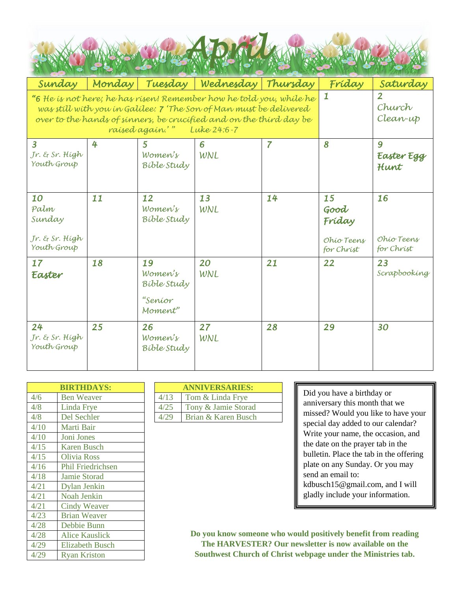| Sunday                                                                                                                                    | Monday                                                                                            | Tuesday                                            | Wednesday                            | Thursday       | Fríday                                           | Saturday                       |
|-------------------------------------------------------------------------------------------------------------------------------------------|---------------------------------------------------------------------------------------------------|----------------------------------------------------|--------------------------------------|----------------|--------------------------------------------------|--------------------------------|
| "6 He is not here; he has risen! Remember how he told you, while he<br>over to the hands of sinners, be crucified and on the third day be | was still with you in Galilee: 7 'The Son of Man must be delivered<br>raised again.'" Luke 24:6-7 | 1                                                  | $\overline{2}$<br>Church<br>Clean-up |                |                                                  |                                |
| $\overline{3}$<br>Jr. & Sr. High<br>Youth Group                                                                                           | 4                                                                                                 | 5<br>Women's<br><b>Bible Study</b>                 | 6<br>WNL                             | $\overline{7}$ | 8                                                | 9<br>Easter Egg<br>Hunt        |
| 10<br>Palm<br>Sunday<br>Jr. & Sr. High<br>Youth Group                                                                                     | 11                                                                                                | 12<br>Women's<br>Bible Study                       | 13<br>WNL                            | 14             | 15<br>Good<br>Fríday<br>Ohio Teens<br>for Christ | 16<br>Ohio Teens<br>for Christ |
| 17<br>Easter                                                                                                                              | 18                                                                                                | 19<br>Women's<br>Bible Study<br>"Seníor<br>Moment" | 20<br>WNL                            | 21             | 22                                               | 23<br>Scrapbooking             |
| 24<br>Jr. & Sr. High<br>Youth Group                                                                                                       | 25                                                                                                | 26<br>Women's<br>Bible Study                       | 27<br>WNL                            | 28             | 29                                               | 30                             |

| <b>BIRTHDAYS:</b>        |      | <b>ANNIVERSARIES:</b>   |
|--------------------------|------|-------------------------|
| <b>Ben Weaver</b>        | 4/13 | Tom & Linda Frye        |
| Linda Frye               | 4/25 | Tony & Jamie Storad     |
| Del Sechler              | 4/29 | Brian & Karen Busch     |
| Marti Bair               |      |                         |
| Joni Jones               |      |                         |
| <b>Karen Busch</b>       |      |                         |
| <b>Olivia Ross</b>       |      |                         |
| <b>Phil Friedrichsen</b> |      |                         |
| <b>Jamie Storad</b>      |      |                         |
| Dylan Jenkin             |      |                         |
| <b>Noah Jenkin</b>       |      |                         |
| <b>Cindy Weaver</b>      |      |                         |
| <b>Brian Weaver</b>      |      |                         |
| Debbie Bunn              |      |                         |
| <b>Alice Kauslick</b>    |      | Do you know some        |
| <b>Elizabeth Busch</b>   |      | <b>The HARVEST</b>      |
| <b>Ryan Kriston</b>      |      | <b>Southwest Churcl</b> |
|                          |      |                         |

| <b>BIRTHDAYS:</b> | <b>ANNIVERSARIES:</b> |                     |  |
|-------------------|-----------------------|---------------------|--|
| <b>Ben Weaver</b> | 4/13                  | Tom & Linda Frye    |  |
| Linda Frye        | 4/25                  | Tony & Jamie Storad |  |
| Del Sechler       | 4/29                  | Brian & Karen Busch |  |

Did you have a birthday or anniversary this month that we missed? Would you like to have your special day added to our calendar? Write your name, the occasion, and the date on the prayer tab in the bulletin. Place the tab in the offering plate on any Sunday. Or you may send an email to: kdbusch15@gmail.com, and I will gladly include your information.

**Do you know someone who would positively benefit from reading The HARVESTER? Our newsletter is now available on the Southwest Church of Christ webpage under the Ministries tab.**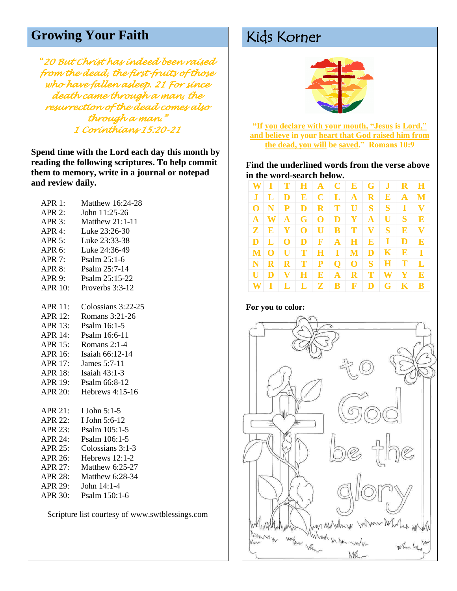### Growing Your Faith Kids Korner

*"20 But Christ has indeed been raised from the dead, the first-fruits of those who have fallen asleep. 21 For since death came through a man, the resurrection of the dead comes also through a man." 1 Corinthians 15:20-21* 

**Spend time with the Lord each day this month by reading the following scriptures. To help commit them to memory, write in a journal or notepad and review daily.**

| <b>APR 1:</b>  | Matthew 16:24-28     |
|----------------|----------------------|
| $APR$ 2:       | John 11:25-26        |
| $APR$ 3:       | Matthew 21:1-11      |
| APR 4:         | Luke 23:26-30        |
|                | APR 5: Luke 23:33-38 |
| APR 6:         | Luke 24:36-49        |
| $APR$ 7:       | Psalm 25:1-6         |
|                | APR 8: Psalm 25:7-14 |
| APR 9:         | Psalm 25:15-22       |
| <b>APR 10:</b> | Proverbs 3:3-12      |
| <b>APR 11:</b> | Colossians 3:22-25   |
| <b>APR 12:</b> | Romans 3:21-26       |
| <b>APR 13:</b> | Psalm 16:1-5         |
| <b>APR 14:</b> | Psalm 16:6-11        |
| <b>APR 15:</b> | Romans 2:1-4         |
| APR 16:        | Isaiah 66:12-14      |
| <b>APR 17:</b> | James 5:7-11         |
| <b>APR 18:</b> | Isaiah 43:1-3        |
| APR 19:        | Psalm 66:8-12        |
| <b>APR 20:</b> | Hebrews 4:15-16      |
| $APR$ 21:      | I John 5:1-5         |
| <b>APR 22:</b> | I John 5:6-12        |
| <b>APR 23:</b> | Psalm 105:1-5        |
| <b>APR 24:</b> | Psalm 106:1-5        |
| <b>APR 25:</b> | Colossians 3:1-3     |
| APR 26:        | Hebrews 12:1-2       |
| <b>APR 27:</b> | Matthew 6:25-27      |
| <b>APR 28:</b> | Matthew 6:28-34      |
| <b>APR 29:</b> | John $14:1-4$        |
| <b>APR 30:</b> | Psalm 150:1-6        |
|                |                      |

Scripture list courtesy of www.swtblessings.com

**For you to color:**



**"If you declare with your mouth, "Jesus is Lord," and believe in your heart that God raised him from the dead, you will be saved." Romans 10:9**

**Find the underlined words from the verse above in the word-search below.** 

| W.           |              | T            |             |                  | $H \mid A \mid C \mid$ |              |              | E   G   J    |                | $R$ H        |
|--------------|--------------|--------------|-------------|------------------|------------------------|--------------|--------------|--------------|----------------|--------------|
|              |              | D            | E           | $\cdot$ C        | $\mathbf{L}$           | $\mathbf{A}$ | $\mathbf{R}$ | $\mathbf{E}$ | $\mathbf{A}$   | M            |
| $\Omega$     | N            | P            | D           | $\mathbf{R}$     | T                      | $\mathbf{U}$ | $S \mid$     | $\mathbf{S}$ | 1              | V            |
| $\mathbf{A}$ | W            | $\mathbf{A}$ | G           | $\bf{0}$         | D                      | $\mathbf{Y}$ | $\mathbf{A}$ | U            | S <sub>1</sub> | E            |
| $\mathbf{z}$ | $\mathbf{E}$ | Y            | $\mathbf 0$ | $\mathbf{U}$ :   | $\mathbf{B}$           | T            | $\mathbf{V}$ | $S^-$        | $\mathbf{E}$   | V            |
| D            | L            | $\bf{O}$     | D           | $\ \mathbf{F}\ $ | $\mathbf{A}$           | $\bf H$      | E            | $\bf{I}$     | D              | $\mathbf{E}$ |
| M            | $\Omega$     | $\mathbf{U}$ | T           | H                | T                      | M            | D            | $\mathbf{K}$ | $\mathbf E$    | $\mathbf{I}$ |
| N            | $\bf{R}$     | $\mathbf R$  | T           | P                | $\mathbf 0$            | $\bf{0}$     | S.           | $\bf H$      | T              | L            |
| $\mathbf{U}$ |              | V            | н           | $\mathbf{E}$     | $\mathbf{A}$           | $\mathbf{R}$ | T            | W            | Y              | E            |
| W            |              | L            | L           | $\mathbf{Z}$     | $\mathbf{B}$           | $\mathbf{F}$ | D            | G            | K              | B            |

# Manny W verfor Ver Wind in the mile